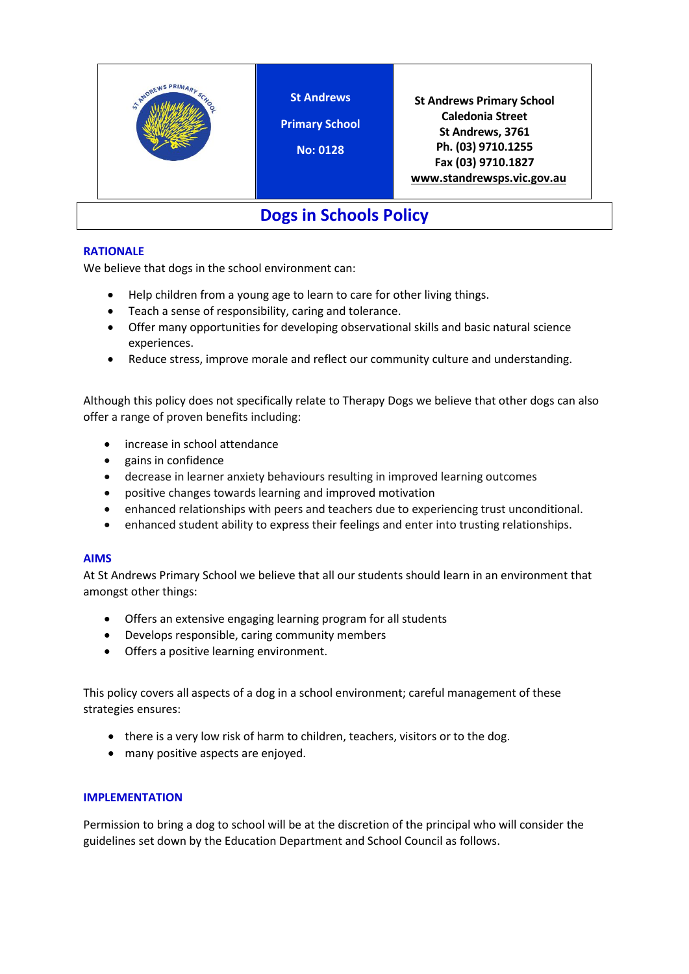

## **RATIONALE**

We believe that dogs in the school environment can:

- Help children from a young age to learn to care for other living things.
- Teach a sense of responsibility, caring and tolerance.
- Offer many opportunities for developing observational skills and basic natural science experiences.
- Reduce stress, improve morale and reflect our community culture and understanding.

Although this policy does not specifically relate to Therapy Dogs we believe that other dogs can also offer a range of proven benefits including:

- [increase in school attendance](https://sophia.stkate.edu/cgi/viewcontent.cgi?referer=https://www.google.com.au/&httpsredir=1&article=1381&context=msw_papers)
- [gains in confidence](https://digitalcommons.nl.edu/cgi/viewcontent.cgi?article=1032&context=diss)
- decrease in learner anxiety behaviours resulting in improved learning outcomes
- positive changes towards learning and [improved motivation](https://fisherpub.sjfc.edu/cgi/viewcontent.cgi?referer=https://www.google.com.au/&httpsredir=1&article=1346&context=education_ETD_masters)
- enhanced relationships with peers and teachers due to experiencing trust unconditional.
- enhanced student ability to [express their feelings](https://fisherpub.sjfc.edu/cgi/viewcontent.cgi?article=1313&context=education_ETD_masters) and enter into trusting relationships.

## **AIMS**

At St Andrews Primary School we believe that all our students should learn in an environment that amongst other things:

- Offers an extensive engaging learning program for all students
- Develops responsible, caring community members
- Offers a positive learning environment.

This policy covers all aspects of a dog in a school environment; careful management of these strategies ensures:

- there is a very low risk of harm to children, teachers, visitors or to the dog.
- many positive aspects are enjoyed.

## **IMPLEMENTATION**

Permission to bring a dog to school will be at the discretion of the principal who will consider the guidelines set down by the Education Department and School Council as follows.